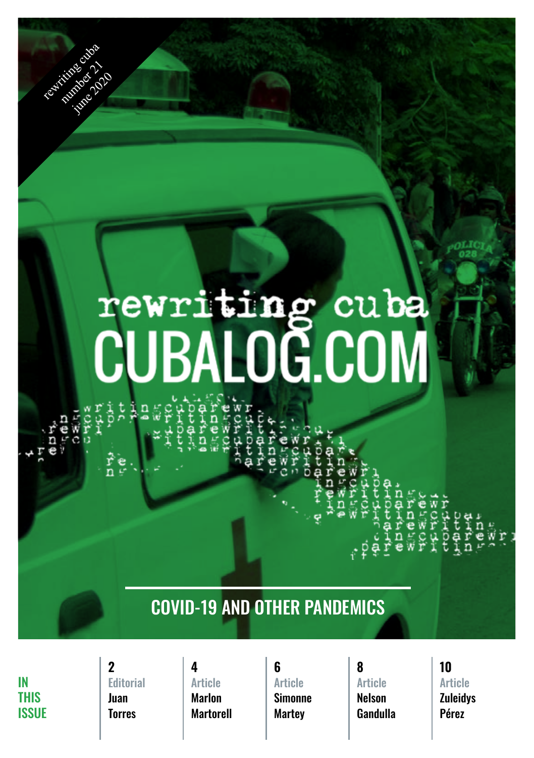# rewriting cuba<br>CUBALOG.COM

giti  $\hat{\vec{r}}$ e

#### COVID-19 and other pandemics

IN **THIS** ISSUE

rewriting cuba

interest 1020

#### [Editorial](#page-1-0) Juan Torres **2 4 6 8 10**

#### Article Marlon **[Martorell](#page-2-0)**

Article **[Simonne](#page-3-0) Martev** 

Article Nelson **[Gandulla](#page-4-0)** 

### Article

**[Zuleidys](#page-5-0)** Pérez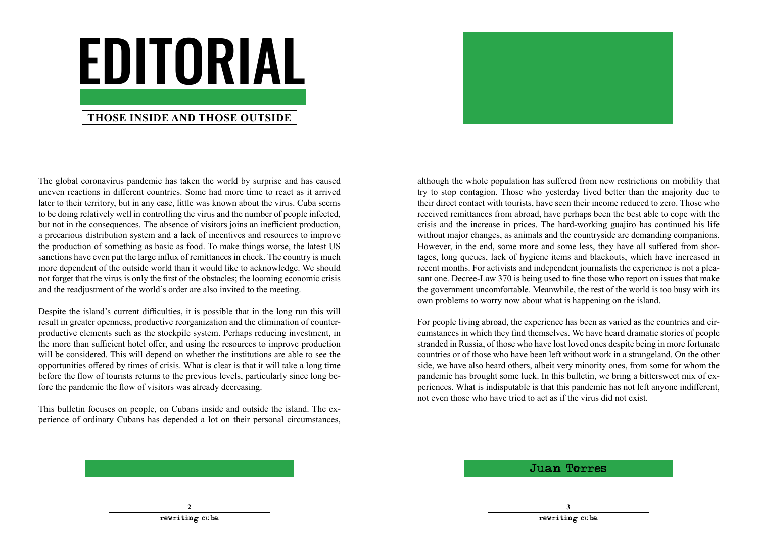# <span id="page-1-0"></span>editorial

#### **Those inside and those outside**

The global coronavirus pandemic has taken the world by surprise and has caused uneven reactions in different countries. Some had more time to react as it arrived later to their territory, but in any case, little was known about the virus. Cuba seems to be doing relatively well in controlling the virus and the number of people infected, but not in the consequences. The absence of visitors joins an inefficient production, a precarious distribution system and a lack of incentives and resources to improve the production of something as basic as food. To make things worse, the latest US sanctions have even put the large influx of remittances in check. The country is much more dependent of the outside world than it would like to acknowledge. We should not forget that the virus is only the first of the obstacles; the looming economic crisis and the readjustment of the world's order are also invited to the meeting.

Despite the island's current difficulties, it is possible that in the long run this will result in greater openness, productive reorganization and the elimination of counterproductive elements such as the stockpile system. Perhaps reducing investment, in the more than sufficient hotel offer, and using the resources to improve production will be considered. This will depend on whether the institutions are able to see the opportunities offered by times of crisis. What is clear is that it will take a long time before the flow of tourists returns to the previous levels, particularly since long before the pandemic the flow of visitors was already decreasing.

This bulletin focuses on people, on Cubans inside and outside the island. The experience of ordinary Cubans has depended a lot on their personal circumstances,



although the whole population has suffered from new restrictions on mobility that try to stop contagion. Those who yesterday lived better than the majority due to their direct contact with tourists, have seen their income reduced to zero. Those who received remittances from abroad, have perhaps been the best able to cope with the crisis and the increase in prices. The hard-working guajiro has continued his life without major changes, as animals and the countryside are demanding companions. However, in the end, some more and some less, they have all suffered from shortages, long queues, lack of hygiene items and blackouts, which have increased in recent months. For activists and independent journalists the experience is not a pleasant one. Decree-Law 370 is being used to fine those who report on issues that make the government uncomfortable. Meanwhile, the rest of the world is too busy with its own problems to worry now about what is happening on the island.

For people living abroad, the experience has been as varied as the countries and circumstances in which they find themselves. We have heard dramatic stories of people stranded in Russia, of those who have lost loved ones despite being in more fortunate countries or of those who have been left without work in a strangeland. On the other side, we have also heard others, albeit very minority ones, from some for whom the pandemic has brought some luck. In this bulletin, we bring a bittersweet mix of experiences. What is indisputable is that this pandemic has not left anyone indifferent, not even those who have tried to act as if the virus did not exist.

Juan Torres

**2 3**

rewriting cuba rewriting cuba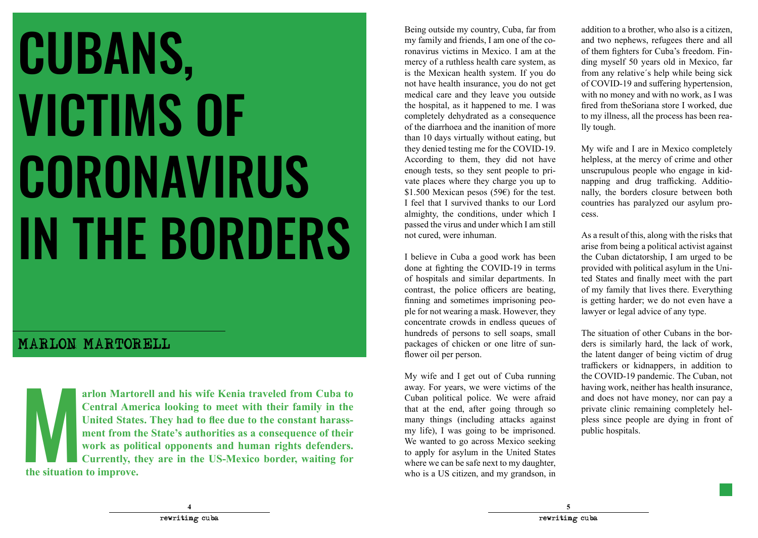## <span id="page-2-0"></span>CUBANS, victims of **CORONAVIRUS** in the borders

#### MARLON MARTORELL

arlon Martorell and his wife Kenia traveled from Cuba to<br>
Cuban political police. We were affaid and does not have money, nor can pay a<br>
Central America looking to meet with their family in the<br>
United States. They had to **arlon Martorell and his wife Kenia traveled from Cuba to Central America looking to meet with their family in the United States. They had to flee due to the constant harassment from the State's authorities as a consequence of their work as political opponents and human rights defenders. Currently, they are in the US-Mexico border, waiting for the situation to improve.** 

Being outside my country, Cuba, far from my family and friends, I am one of the coronavirus victims in Mexico. I am at the mercy of a ruthless health care system, as is the Mexican health system. If you do not have health insurance, you do not get medical care and they leave you outside the hospital, as it happened to me. I was completely dehydrated as a consequence of the diarrhoea and the inanition of more than 10 days virtually without eating, but they denied testing me for the COVID-19. According to them, they did not have enough tests, so they sent people to private places where they charge you up to \$1.500 Mexican pesos (59€) for the test. I feel that I survived thanks to our Lord almighty, the conditions, under which I passed the virus and under which I am still not cured, were inhuman.

I believe in Cuba a good work has been done at fighting the COVID-19 in terms of hospitals and similar departments. In contrast, the police officers are beating, finning and sometimes imprisoning people for not wearing a mask. However, they concentrate crowds in endless queues of hundreds of persons to sell soaps, small packages of chicken or one litre of sunflower oil per person.

My wife and I get out of Cuba running away. For years, we were victims of the Cuban political police. We were afraid that at the end, after going through so many things (including attacks against my life), I was going to be imprisoned. We wanted to go across Mexico seeking to apply for asylum in the United States where we can be safe next to my daughter, who is a US citizen, and my grandson, in

addition to a brother, who also is a citizen, and two nephews, refugees there and all of them fighters for Cuba's freedom. Finding myself 50 years old in Mexico, far from any relative´s help while being sick of COVID-19 and suffering hypertension, with no money and with no work, as I was fired from theSoriana store I worked, due to my illness, all the process has been really tough.

My wife and I are in Mexico completely helpless, at the mercy of crime and other unscrupulous people who engage in kidnapping and drug trafficking. Additionally, the borders closure between both countries has paralyzed our asylum process.

As a result of this, along with the risks that arise from being a political activist against the Cuban dictatorship, I am urged to be provided with political asylum in the United States and finally meet with the part of my family that lives there. Everything is getting harder; we do not even have a lawyer or legal advice of any type.

The situation of other Cubans in the borders is similarly hard, the lack of work, the latent danger of being victim of drug traffickers or kidnappers, in addition to the COVID-19 pandemic. The Cuban, not having work, neither has health insurance, and does not have money, nor can pay a private clinic remaining completely hel-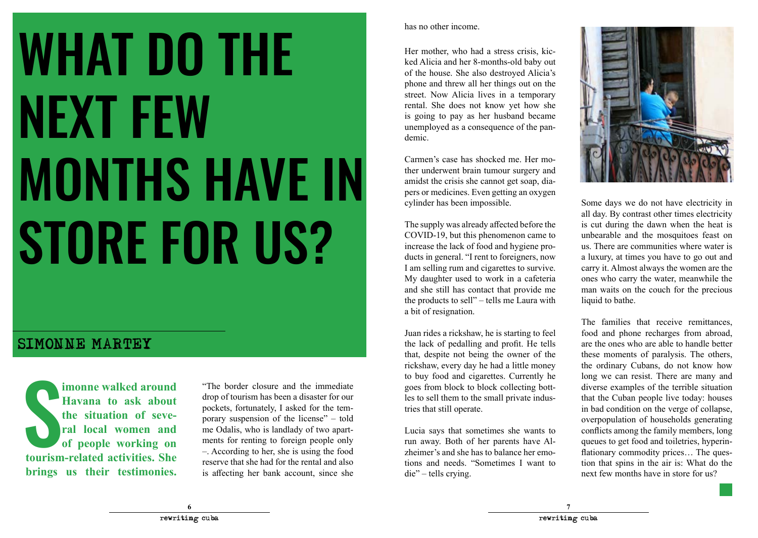## <span id="page-3-0"></span>**WHAT DO THE** next few months have in STORE FOR US?

#### Simonne Martey

**EXERCISE IN SERVIER 2013 1999 11 1000 11 1000 11 1000 11 1000 11 1000 11 1000 11 1000 11 1000 11 1000 11 1000 11 1000 11 1000 11 1000 11 1000 11 1000 11 1000 11 1000 11 1000 11 1000 11 1000 11 1000 11 1000 11 1000 11 1000 imonne walked around Havana to ask about the situation of several local women and of people working on brings us their testimonies.** 

"The border closure and the immediate drop of tourism has been a disaster for our pockets, fortunately, I asked for the temporary suspension of the license" – told me Odalis, who is landlady of two apartments for renting to foreign people only –. According to her, she is using the food reserve that she had for the rental and also is affecting her bank account, since she has no other income.

Her mother, who had a stress crisis, kicked Alicia and her 8-months-old baby out of the house. She also destroyed Alicia's phone and threw all her things out on the street. Now Alicia lives in a temporary rental. She does not know yet how she is going to pay as her husband became unemployed as a consequence of the pandemic.

Carmen's case has shocked me. Her mother underwent brain tumour surgery and amidst the crisis she cannot get soap, diapers or medicines. Even getting an oxygen cylinder has been impossible.

The supply was already affected before the COVID-19, but this phenomenon came to increase the lack of food and hygiene products in general. "I rent to foreigners, now I am selling rum and cigarettes to survive. My daughter used to work in a cafeteria and she still has contact that provide me the products to sell" – tells me Laura with a bit of resignation.

Juan rides a rickshaw, he is starting to feel the lack of pedalling and profit. He tells that, despite not being the owner of the rickshaw, every day he had a little money to buy food and cigarettes. Currently he goes from block to block collecting bottles to sell them to the small private industries that still operate.

Lucia says that sometimes she wants to run away. Both of her parents have Alzheimer's and she has to balance her emotions and needs. "Sometimes I want to die" – tells crying.



Some days we do not have electricity in all day. By contrast other times electricity is cut during the dawn when the heat is unbearable and the mosquitoes feast on us. There are communities where water is a luxury, at times you have to go out and carry it. Almost always the women are the ones who carry the water, meanwhile the man waits on the couch for the precious liquid to bathe.

The families that receive remittances, food and phone recharges from abroad, are the ones who are able to handle better these moments of paralysis. The others, the ordinary Cubans, do not know how long we can resist. There are many and diverse examples of the terrible situation that the Cuban people live today: houses in bad condition on the verge of collapse, overpopulation of households generating conflicts among the family members, long queues to get food and toiletries, hyperinflationary commodity prices… The question that spins in the air is: What do the next few months have in store for us?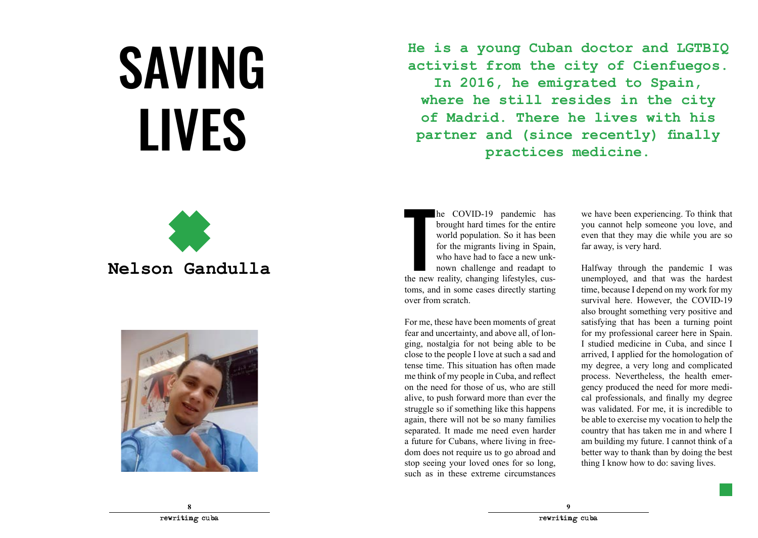## <span id="page-4-0"></span>**SAVING LIVES**

**He is a young Cuban doctor and LGTBIQ activist from the city of Cienfuegos.** 

**In 2016, he emigrated to Spain, where he still resides in the city of Madrid. There he lives with his partner and (since recently) finally practices medicine.**



**Nelson Gandulla**



he COVID-19 pandemic has<br>brought hard times for the entire<br>world population. So it has been<br>for the migrants living in Spain,<br>who have had to face a new unk-<br>nown challenge and readapt to<br>the new reality, changing lifestyl he COVID-19 pandemic has brought hard times for the entire world population. So it has been for the migrants living in Spain, who have had to face a new unknown challenge and readapt to toms, and in some cases directly starting over from scratch.

For me, these have been moments of great fear and uncertainty, and above all, of longing, nostalgia for not being able to be close to the people I love at such a sad and tense time. This situation has often made me think of my people in Cuba, and reflect on the need for those of us, who are still alive, to push forward more than ever the struggle so if something like this happens again, there will not be so many families separated. It made me need even harder a future for Cubans, where living in freedom does not require us to go abroad and stop seeing your loved ones for so long, such as in these extreme circumstances

we have been experiencing. To think that you cannot help someone you love, and even that they may die while you are so far away, is very hard.

Halfway through the pandemic I was unemployed, and that was the hardest time, because I depend on my work for my survival here. However, the COVID-19 also brought something very positive and satisfying that has been a turning point for my professional career here in Spain. I studied medicine in Cuba, and since I arrived, I applied for the homologation of my degree, a very long and complicated process. Nevertheless, the health emergency produced the need for more medical professionals, and finally my degree was validated. For me, it is incredible to be able to exercise my vocation to help the country that has taken me in and where I am building my future. I cannot think of a better way to thank than by doing the best thing I know how to do: saving lives.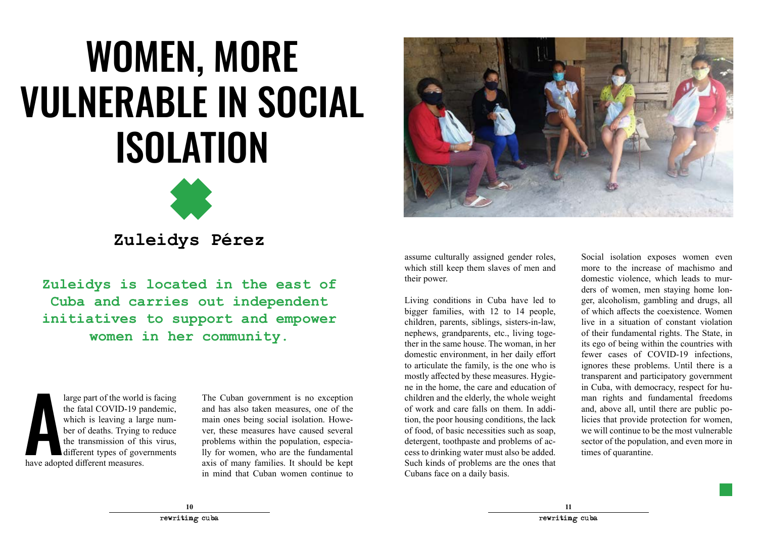### <span id="page-5-0"></span>WOMEN, MORE vulnerable in social **ISOLATION**



### **Zuleidys Pérez**

**Zuleidys is located in the east of Cuba and carries out independent initiatives to support and empower women in her community.**

large part of the world<br>the fatal COVID-19 p<br>which is leaving a larger of deaths. Trying the transmission of the<br>different types of gove<br>have adopted different measures. large part of the world is facing the fatal COVID-19 pandemic, which is leaving a large number of deaths. Trying to reduce the transmission of this virus, different types of governments

The Cuban government is no exception and has also taken measures, one of the main ones being social isolation. However, these measures have caused several problems within the population, especially for women, who are the fundamental axis of many families. It should be kept in mind that Cuban women continue to



assume culturally assigned gender roles, which still keep them slaves of men and their power.

Living conditions in Cuba have led to bigger families, with 12 to 14 people, children, parents, siblings, sisters-in-law, nephews, grandparents, etc., living together in the same house. The woman, in her domestic environment, in her daily effort to articulate the family, is the one who is mostly affected by these measures. Hygiene in the home, the care and education of children and the elderly, the whole weight of work and care falls on them. In addition, the poor housing conditions, the lack of food, of basic necessities such as soap, detergent, toothpaste and problems of access to drinking water must also be added. Such kinds of problems are the ones that Cubans face on a daily basis.

Social isolation exposes women even more to the increase of machismo and domestic violence, which leads to murders of women, men staying home longer, alcoholism, gambling and drugs, all of which affects the coexistence. Women live in a situation of constant violation of their fundamental rights. The State, in its ego of being within the countries with fewer cases of COVID-19 infections, ignores these problems. Until there is a transparent and participatory government in Cuba, with democracy, respect for human rights and fundamental freedoms and, above all, until there are public policies that provide protection for women, we will continue to be the most vulnerable sector of the population, and even more in times of quarantine.